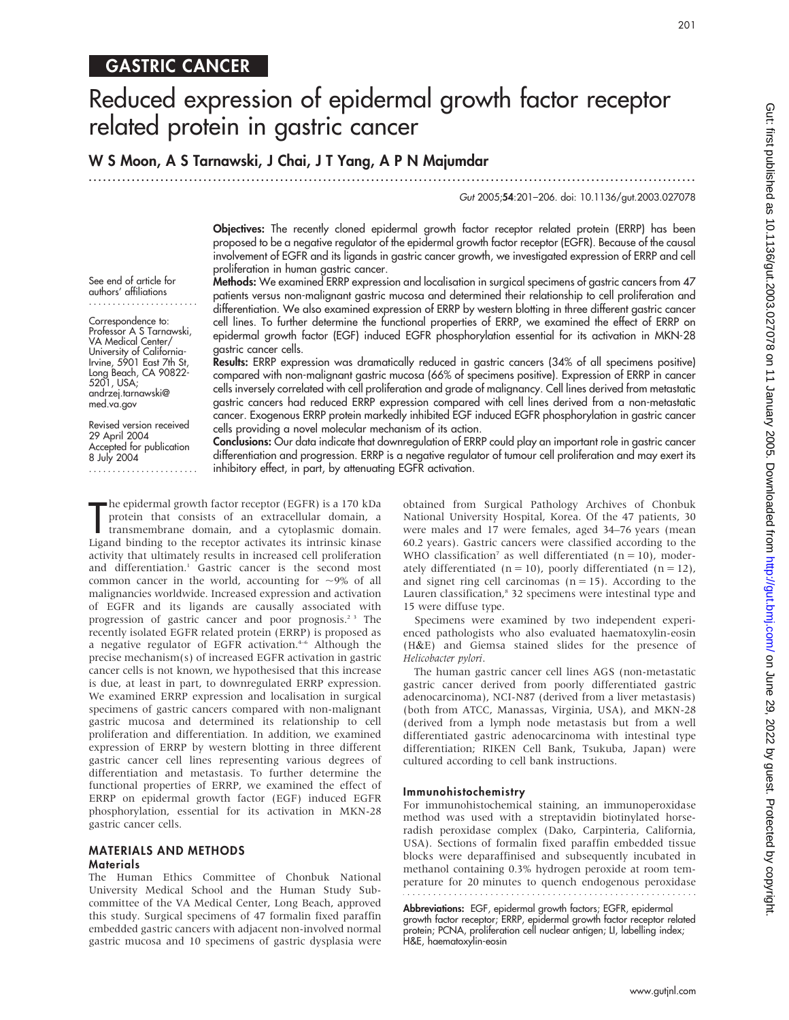### GASTRIC CANCER

# Reduced expression of epidermal growth factor receptor related protein in gastric cancer

#### W S Moon, A S Tarnawski, J Chai, J T Yang, A P N Majumdar

...............................................................................................................................

#### Gut 2005;54:201–206. doi: 10.1136/gut.2003.027078

Objectives: The recently cloned epidermal growth factor receptor related protein (ERRP) has been proposed to be a negative regulator of the epidermal growth factor receptor (EGFR). Because of the causal involvement of EGFR and its ligands in gastric cancer growth, we investigated expression of ERRP and cell proliferation in human gastric cancer.

See end of article for authors' affiliations .......................

Correspondence to: Professor A S Tarnawski, VA Medical Center/ University of California-Irvine, 5901 East 7th St, Long Beach, CA 90822- 5201, USA; andrzej.tarnawski@ med.va.gov

Revised version received 29 April 2004 Accepted for publication 8 July 2004 ....................... Methods: We examined ERRP expression and localisation in surgical specimens of gastric cancers from 47 patients versus non-malignant gastric mucosa and determined their relationship to cell proliferation and differentiation. We also examined expression of ERRP by western blotting in three different gastric cancer cell lines. To further determine the functional properties of ERRP, we examined the effect of ERRP on epidermal growth factor (EGF) induced EGFR phosphorylation essential for its activation in MKN-28 gastric cancer cells.

Results: ERRP expression was dramatically reduced in gastric cancers (34% of all specimens positive) compared with non-malignant gastric mucosa (66% of specimens positive). Expression of ERRP in cancer cells inversely correlated with cell proliferation and grade of malignancy. Cell lines derived from metastatic gastric cancers had reduced ERRP expression compared with cell lines derived from a non-metastatic cancer. Exogenous ERRP protein markedly inhibited EGF induced EGFR phosphorylation in gastric cancer cells providing a novel molecular mechanism of its action.

Conclusions: Our data indicate that downregulation of ERRP could play an important role in gastric cancer differentiation and progression. ERRP is a negative regulator of tumour cell proliferation and may exert its inhibitory effect, in part, by attenuating EGFR activation.

The epidermal growth factor receptor (EGFR) is a 170 kDa<br>protein that consists of an extracellular domain, a<br>transmembrane domain, and a cytoplasmic domain.<br>Ligand binding to the receptor activates its intrinsic kinase he epidermal growth factor receptor (EGFR) is a 170 kDa protein that consists of an extracellular domain, a transmembrane domain, and a cytoplasmic domain. activity that ultimately results in increased cell proliferation and differentiation.<sup>1</sup> Gastric cancer is the second most common cancer in the world, accounting for  $\sim$ 9% of all malignancies worldwide. Increased expression and activation of EGFR and its ligands are causally associated with progression of gastric cancer and poor prognosis.<sup>23</sup> The recently isolated EGFR related protein (ERRP) is proposed as a negative regulator of EGFR activation.<sup>4-6</sup> Although the precise mechanism(s) of increased EGFR activation in gastric cancer cells is not known, we hypothesised that this increase is due, at least in part, to downregulated ERRP expression. We examined ERRP expression and localisation in surgical specimens of gastric cancers compared with non-malignant gastric mucosa and determined its relationship to cell proliferation and differentiation. In addition, we examined expression of ERRP by western blotting in three different gastric cancer cell lines representing various degrees of differentiation and metastasis. To further determine the functional properties of ERRP, we examined the effect of ERRP on epidermal growth factor (EGF) induced EGFR phosphorylation, essential for its activation in MKN-28 gastric cancer cells.

#### MATERIALS AND METHODS **Materials**

The Human Ethics Committee of Chonbuk National University Medical School and the Human Study Subcommittee of the VA Medical Center, Long Beach, approved this study. Surgical specimens of 47 formalin fixed paraffin embedded gastric cancers with adjacent non-involved normal gastric mucosa and 10 specimens of gastric dysplasia were obtained from Surgical Pathology Archives of Chonbuk National University Hospital, Korea. Of the 47 patients, 30 were males and 17 were females, aged 34–76 years (mean 60.2 years). Gastric cancers were classified according to the WHO classification<sup>7</sup> as well differentiated ( $n = 10$ ), moderately differentiated ( $n = 10$ ), poorly differentiated ( $n = 12$ ), and signet ring cell carcinomas  $(n = 15)$ . According to the Lauren classification,<sup>8</sup> 32 specimens were intestinal type and 15 were diffuse type.

Specimens were examined by two independent experienced pathologists who also evaluated haematoxylin-eosin (H&E) and Giemsa stained slides for the presence of Helicobacter pylori.

The human gastric cancer cell lines AGS (non-metastatic gastric cancer derived from poorly differentiated gastric adenocarcinoma), NCI-N87 (derived from a liver metastasis) (both from ATCC, Manassas, Virginia, USA), and MKN-28 (derived from a lymph node metastasis but from a well differentiated gastric adenocarcinoma with intestinal type differentiation; RIKEN Cell Bank, Tsukuba, Japan) were cultured according to cell bank instructions.

#### Immunohistochemistry

For immunohistochemical staining, an immunoperoxidase method was used with a streptavidin biotinylated horseradish peroxidase complex (Dako, Carpinteria, California, USA). Sections of formalin fixed paraffin embedded tissue blocks were deparaffinised and subsequently incubated in methanol containing 0.3% hydrogen peroxide at room temperature for 20 minutes to quench endogenous peroxidase

Abbreviations: EGF, epidermal growth factors; EGFR, epidermal

growth factor receptor; ERRP, epidermal growth factor receptor related protein; PCNA, proliferation cell nuclear antigen; LI, labelling index; H&E, haematoxylin-eosin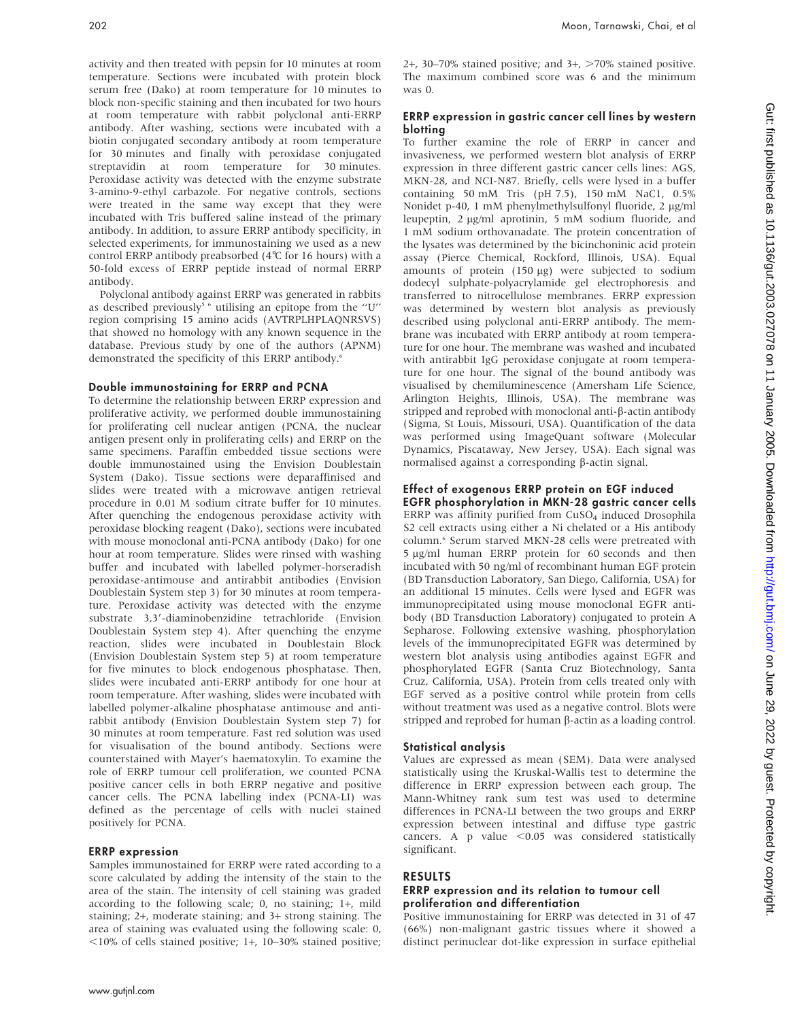activity and then treated with pepsin for 10 minutes at room temperature. Sections were incubated with protein block serum free (Dako) at room temperature for 10 minutes to block non-specific staining and then incubated for two hours at room temperature with rabbit polyclonal anti-ERRP antibody. After washing, sections were incubated with a biotin conjugated secondary antibody at room temperature for 30 minutes and finally with peroxidase conjugated streptavidin at room temperature for 30 minutes. Peroxidase activity was detected with the enzyme substrate 3-amino-9-ethyl carbazole. For negative controls, sections were treated in the same way except that they were incubated with Tris buffered saline instead of the primary antibody. In addition, to assure ERRP antibody specificity, in selected experiments, for immunostaining we used as a new control ERRP antibody preabsorbed (4˚C for 16 hours) with a 50-fold excess of ERRP peptide instead of normal ERRP antibody.

Polyclonal antibody against ERRP was generated in rabbits as described previously<sup>56</sup> utilising an epitope from the "U" region comprising 15 amino acids (AVTRPLHPLAQNRSVS) that showed no homology with any known sequence in the database. Previous study by one of the authors (APNM) demonstrated the specificity of this ERRP antibody.<sup>6</sup>

#### Double immunostaining for ERRP and PCNA

To determine the relationship between ERRP expression and proliferative activity, we performed double immunostaining for proliferating cell nuclear antigen (PCNA, the nuclear antigen present only in proliferating cells) and ERRP on the same specimens. Paraffin embedded tissue sections were double immunostained using the Envision Doublestain System (Dako). Tissue sections were deparaffinised and slides were treated with a microwave antigen retrieval procedure in 0.01 M sodium citrate buffer for 10 minutes. After quenching the endogenous peroxidase activity with peroxidase blocking reagent (Dako), sections were incubated with mouse monoclonal anti-PCNA antibody (Dako) for one hour at room temperature. Slides were rinsed with washing buffer and incubated with labelled polymer-horseradish peroxidase-antimouse and antirabbit antibodies (Envision Doublestain System step 3) for 30 minutes at room temperature. Peroxidase activity was detected with the enzyme substrate 3,3'-diaminobenzidine tetrachloride (Envision Doublestain System step 4). After quenching the enzyme reaction, slides were incubated in Doublestain Block (Envision Doublestain System step 5) at room temperature for five minutes to block endogenous phosphatase. Then, slides were incubated anti-ERRP antibody for one hour at room temperature. After washing, slides were incubated with labelled polymer-alkaline phosphatase antimouse and antirabbit antibody (Envision Doublestain System step 7) for 30 minutes at room temperature. Fast red solution was used for visualisation of the bound antibody. Sections were counterstained with Mayer's haematoxylin. To examine the role of ERRP tumour cell proliferation, we counted PCNA positive cancer cells in both ERRP negative and positive cancer cells. The PCNA labelling index (PCNA-LI) was defined as the percentage of cells with nuclei stained positively for PCNA.

#### ERRP expression

Samples immunostained for ERRP were rated according to a score calculated by adding the intensity of the stain to the area of the stain. The intensity of cell staining was graded according to the following scale; 0, no staining; 1+, mild staining; 2+, moderate staining; and 3+ strong staining. The area of staining was evaluated using the following scale: 0,  $<$ 10% of cells stained positive; 1+, 10–30% stained positive; 2+, 30–70% stained positive; and  $3+$ ,  $>70%$  stained positive. The maximum combined score was 6 and the minimum was 0.

#### ERRP expression in gastric cancer cell lines by western blotting

To further examine the role of ERRP in cancer and invasiveness, we performed western blot analysis of ERRP expression in three different gastric cancer cells lines: AGS, MKN-28, and NCI-N87. Briefly, cells were lysed in a buffer containing 50 mM Tris (pH 7.5), 150 mM NaC1, 0.5% Nonidet p-40, 1 mM phenylmethylsulfonyl fluoride, 2 µg/ml leupeptin, 2 µg/ml aprotinin, 5 mM sodium fluoride, and 1 mM sodium orthovanadate. The protein concentration of the lysates was determined by the bicinchoninic acid protein assay (Pierce Chemical, Rockford, Illinois, USA). Equal amounts of protein  $(150 \mu g)$  were subjected to sodium dodecyl sulphate-polyacrylamide gel electrophoresis and transferred to nitrocellulose membranes. ERRP expression was determined by western blot analysis as previously described using polyclonal anti-ERRP antibody. The membrane was incubated with ERRP antibody at room temperature for one hour. The membrane was washed and incubated with antirabbit IgG peroxidase conjugate at room temperature for one hour. The signal of the bound antibody was visualised by chemiluminescence (Amersham Life Science, Arlington Heights, Illinois, USA). The membrane was stripped and reprobed with monoclonal anti-b-actin antibody (Sigma, St Louis, Missouri, USA). Quantification of the data was performed using ImageQuant software (Molecular Dynamics, Piscataway, New Jersey, USA). Each signal was normalised against a corresponding  $\beta$ -actin signal.

#### Effect of exogenous ERRP protein on EGF induced EGFR phosphorylation in MKN-28 gastric cancer cells

ERRP was affinity purified from  $CuSO<sub>4</sub>$  induced Drosophila S2 cell extracts using either a Ni chelated or a His antibody column.6 Serum starved MKN-28 cells were pretreated with 5 µg/ml human ERRP protein for 60 seconds and then incubated with 50 ng/ml of recombinant human EGF protein (BD Transduction Laboratory, San Diego, California, USA) for an additional 15 minutes. Cells were lysed and EGFR was immunoprecipitated using mouse monoclonal EGFR antibody (BD Transduction Laboratory) conjugated to protein A Sepharose. Following extensive washing, phosphorylation levels of the immunoprecipitated EGFR was determined by western blot analysis using antibodies against EGFR and phosphorylated EGFR (Santa Cruz Biotechnology, Santa Cruz, California, USA). Protein from cells treated only with EGF served as a positive control while protein from cells without treatment was used as a negative control. Blots were stripped and reprobed for human  $\beta$ -actin as a loading control.

#### Statistical analysis

Values are expressed as mean (SEM). Data were analysed statistically using the Kruskal-Wallis test to determine the difference in ERRP expression between each group. The Mann-Whitney rank sum test was used to determine differences in PCNA-LI between the two groups and ERRP expression between intestinal and diffuse type gastric cancers. A p value  $<$ 0.05 was considered statistically significant.

#### RESULTS

#### ERRP expression and its relation to tumour cell proliferation and differentiation

Positive immunostaining for ERRP was detected in 31 of 47 (66%) non-malignant gastric tissues where it showed a distinct perinuclear dot-like expression in surface epithelial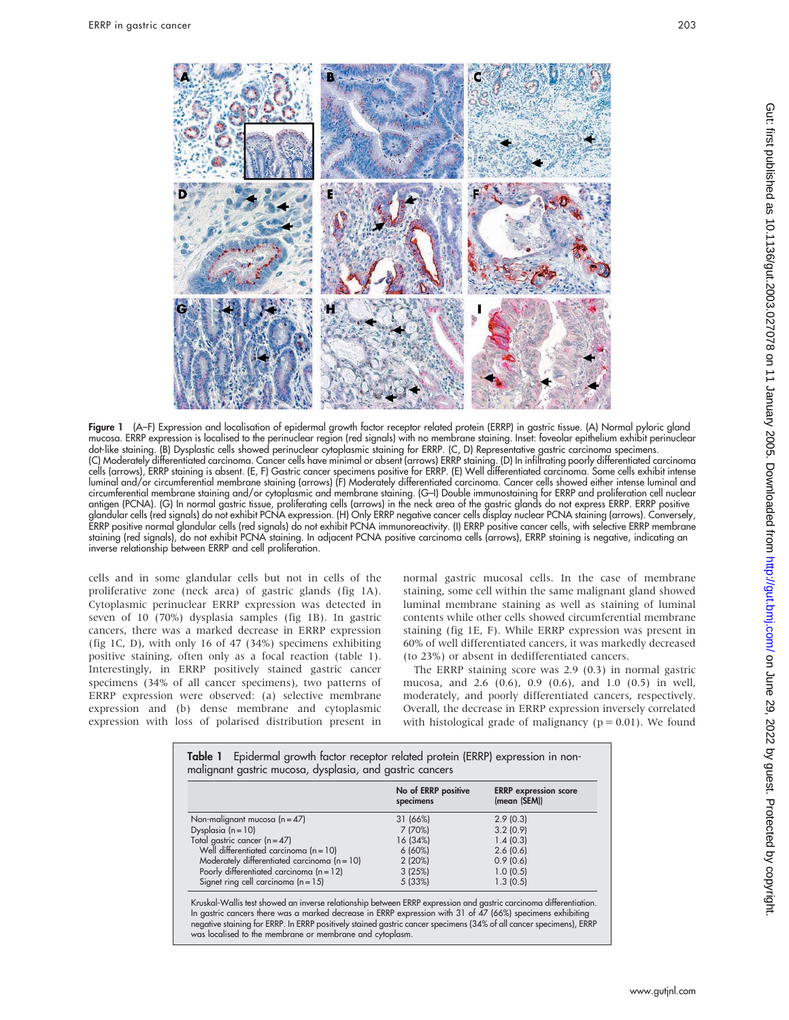

Figure 1 (A–F) Expression and localisation of epidermal growth factor receptor related protein (ERRP) in gastric tissue. (A) Normal pyloric gland mucosa. ERRP expression is localised to the perinuclear region (red signals) with no membrane staining. Inset: foveolar epithelium exhibit perinuclear dot-like staining. (B) Dysplastic cells showed perinuclear cytoplasmic staining for ERRP. (C, D) Representative gastric carcinoma specimens. (C) Moderately differentiated carcinoma. Cancer cells have minimal or absent (arrows) ERRP staining. (D) In infiltrating poorly differentiated carcinoma cells (arrows), ERRP staining is absent. (E, F) Gastric cancer specimens positive for ERRP. (E) Well differentiated carcinoma. Some cells exhibit intense luminal and/or circumferential membrane staining (arrows) (F) Moderately differentiated carcinoma. Cancer cells showed either intense luminal and circumferential membrane staining and/or cytoplasmic and membrane staining. (G–I) Double immunostaining for ERRP and proliferation cell nuclear antigen (PCNA). (G) In normal gastric tissue, proliferating cells (arrows) in the neck area of the gastric glands do not express ERRP. ERRP positive glandular cells (red signals) do not exhibit PCNA expression. (H) Only ERRP negative cancer cells display nuclear PCNA staining (arrows). Conversely, ERRP positive normal glandular cells (red signals) do not exhibit PCNA immunoreactivity. (I) ERRP positive cancer cells, with selective ERRP membrane staining (red signals), do not exhibit PCNA staining. In adjacent PCNA positive carcinoma cells (arrows), ERRP staining is negative, indicating an inverse relationship between ERRP and cell proliferation.

cells and in some glandular cells but not in cells of the proliferative zone (neck area) of gastric glands (fig 1A). Cytoplasmic perinuclear ERRP expression was detected in seven of 10 (70%) dysplasia samples (fig 1B). In gastric cancers, there was a marked decrease in ERRP expression (fig 1C, D), with only 16 of 47 (34%) specimens exhibiting positive staining, often only as a focal reaction (table 1). Interestingly, in ERRP positively stained gastric cancer specimens (34% of all cancer specimens), two patterns of ERRP expression were observed: (a) selective membrane expression and (b) dense membrane and cytoplasmic expression with loss of polarised distribution present in normal gastric mucosal cells. In the case of membrane staining, some cell within the same malignant gland showed luminal membrane staining as well as staining of luminal contents while other cells showed circumferential membrane staining (fig 1E, F). While ERRP expression was present in 60% of well differentiated cancers, it was markedly decreased (to 23%) or absent in dedifferentiated cancers.

The ERRP staining score was 2.9 (0.3) in normal gastric mucosa, and 2.6 (0.6), 0.9 (0.6), and 1.0 (0.5) in well, moderately, and poorly differentiated cancers, respectively. Overall, the decrease in ERRP expression inversely correlated with histological grade of malignancy ( $p = 0.01$ ). We found

|                                                | No of ERRP positive<br>specimens | <b>ERRP</b> expression score<br>(mean (SEM)) |
|------------------------------------------------|----------------------------------|----------------------------------------------|
| Non-malignant mucosa ( $n = 47$ )              | 31 (66%)                         | 2.9(0.3)                                     |
| Dysplasia $(n = 10)$                           | 7 (70%)                          | 3.2(0.9)                                     |
| Total gastric cancer (n=47)                    | 16 (34%)                         | 1.4(0.3)                                     |
| Well differentiated carcinoma ( $n = 10$ )     | $6(60\%)$                        | 2.6(0.6)                                     |
| Moderately differentiated carcinoma $(n = 10)$ | 2(20%)                           | 0.9(0.6)                                     |
| Poorly differentiated carcinoma ( $n = 12$ )   | 3(25%)                           | 1.0(0.5)                                     |
| Signet ring cell carcinoma $(n = 15)$          | 5(33%)                           | 1.3(0.5)                                     |

In gastric cancers there was a marked decrease in ERRP expression with 31 of 47 (66%) specimens exhibiting negative staining for ERRP. In ERRP positively stained gastric cancer specimens (34% of all cancer specimens), ERRP was localised to the membrane or membrane and cytoplasm.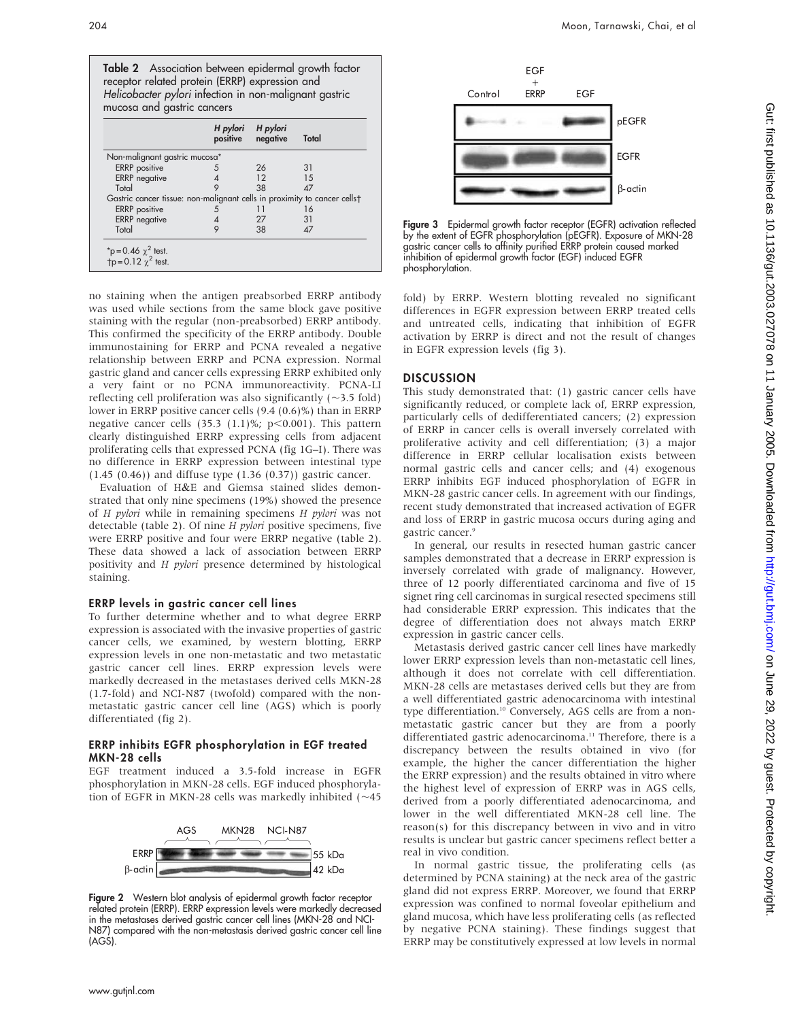

no staining when the antigen preabsorbed ERRP antibody was used while sections from the same block gave positive staining with the regular (non-preabsorbed) ERRP antibody. This confirmed the specificity of the ERRP antibody. Double immunostaining for ERRP and PCNA revealed a negative relationship between ERRP and PCNA expression. Normal gastric gland and cancer cells expressing ERRP exhibited only a very faint or no PCNA immunoreactivity. PCNA-LI reflecting cell proliferation was also significantly  $(\sim$ 3.5 fold) lower in ERRP positive cancer cells (9.4 (0.6)%) than in ERRP negative cancer cells (35.3 (1.1)%;  $p<0.001$ ). This pattern clearly distinguished ERRP expressing cells from adjacent proliferating cells that expressed PCNA (fig 1G–I). There was no difference in ERRP expression between intestinal type (1.45 (0.46)) and diffuse type (1.36 (0.37)) gastric cancer.

Evaluation of H&E and Giemsa stained slides demonstrated that only nine specimens (19%) showed the presence of H pylori while in remaining specimens H pylori was not detectable (table 2). Of nine  $H$  pylori positive specimens, five were ERRP positive and four were ERRP negative (table 2). These data showed a lack of association between ERRP positivity and H pylori presence determined by histological staining.

#### ERRP levels in gastric cancer cell lines

To further determine whether and to what degree ERRP expression is associated with the invasive properties of gastric cancer cells, we examined, by western blotting, ERRP expression levels in one non-metastatic and two metastatic gastric cancer cell lines. ERRP expression levels were markedly decreased in the metastases derived cells MKN-28 (1.7-fold) and NCI-N87 (twofold) compared with the nonmetastatic gastric cancer cell line (AGS) which is poorly differentiated (fig 2).

#### ERRP inhibits EGFR phosphorylation in EGF treated MKN-28 cells

EGF treatment induced a 3.5-fold increase in EGFR phosphorylation in MKN-28 cells. EGF induced phosphorylation of EGFR in MKN-28 cells was markedly inhibited  $(\sim 45)$ 



Figure 2 Western blot analysis of epidermal growth factor receptor related protein (ERRP). ERRP expression levels were markedly decreased in the metastases derived gastric cancer cell lines (MKN-28 and NCI-N87) compared with the non-metastasis derived gastric cancer cell line (AGS).



Figure 3 Epidermal growth factor receptor (EGFR) activation reflected by the extent of EGFR phosphorylation (pEGFR). Exposure of MKN-28 gastric cancer cells to affinity purified ERRP protein caused marked inhibition of epidermal growth factor (EGF) induced EGFR phosphorylation.

fold) by ERRP. Western blotting revealed no significant differences in EGFR expression between ERRP treated cells and untreated cells, indicating that inhibition of EGFR activation by ERRP is direct and not the result of changes in EGFR expression levels (fig 3).

#### **DISCUSSION**

This study demonstrated that: (1) gastric cancer cells have significantly reduced, or complete lack of, ERRP expression, particularly cells of dedifferentiated cancers; (2) expression of ERRP in cancer cells is overall inversely correlated with proliferative activity and cell differentiation; (3) a major difference in ERRP cellular localisation exists between normal gastric cells and cancer cells; and (4) exogenous ERRP inhibits EGF induced phosphorylation of EGFR in MKN-28 gastric cancer cells. In agreement with our findings, recent study demonstrated that increased activation of EGFR and loss of ERRP in gastric mucosa occurs during aging and gastric cancer.<sup>9</sup>

In general, our results in resected human gastric cancer samples demonstrated that a decrease in ERRP expression is inversely correlated with grade of malignancy. However, three of 12 poorly differentiated carcinoma and five of 15 signet ring cell carcinomas in surgical resected specimens still had considerable ERRP expression. This indicates that the degree of differentiation does not always match ERRP expression in gastric cancer cells.

Metastasis derived gastric cancer cell lines have markedly lower ERRP expression levels than non-metastatic cell lines, although it does not correlate with cell differentiation. MKN-28 cells are metastases derived cells but they are from a well differentiated gastric adenocarcinoma with intestinal type differentiation.<sup>10</sup> Conversely, AGS cells are from a nonmetastatic gastric cancer but they are from a poorly differentiated gastric adenocarcinoma.<sup>11</sup> Therefore, there is a discrepancy between the results obtained in vivo (for example, the higher the cancer differentiation the higher the ERRP expression) and the results obtained in vitro where the highest level of expression of ERRP was in AGS cells, derived from a poorly differentiated adenocarcinoma, and lower in the well differentiated MKN-28 cell line. The reason(s) for this discrepancy between in vivo and in vitro results is unclear but gastric cancer specimens reflect better a real in vivo condition.

In normal gastric tissue, the proliferating cells (as determined by PCNA staining) at the neck area of the gastric gland did not express ERRP. Moreover, we found that ERRP expression was confined to normal foveolar epithelium and gland mucosa, which have less proliferating cells (as reflected by negative PCNA staining). These findings suggest that ERRP may be constitutively expressed at low levels in normal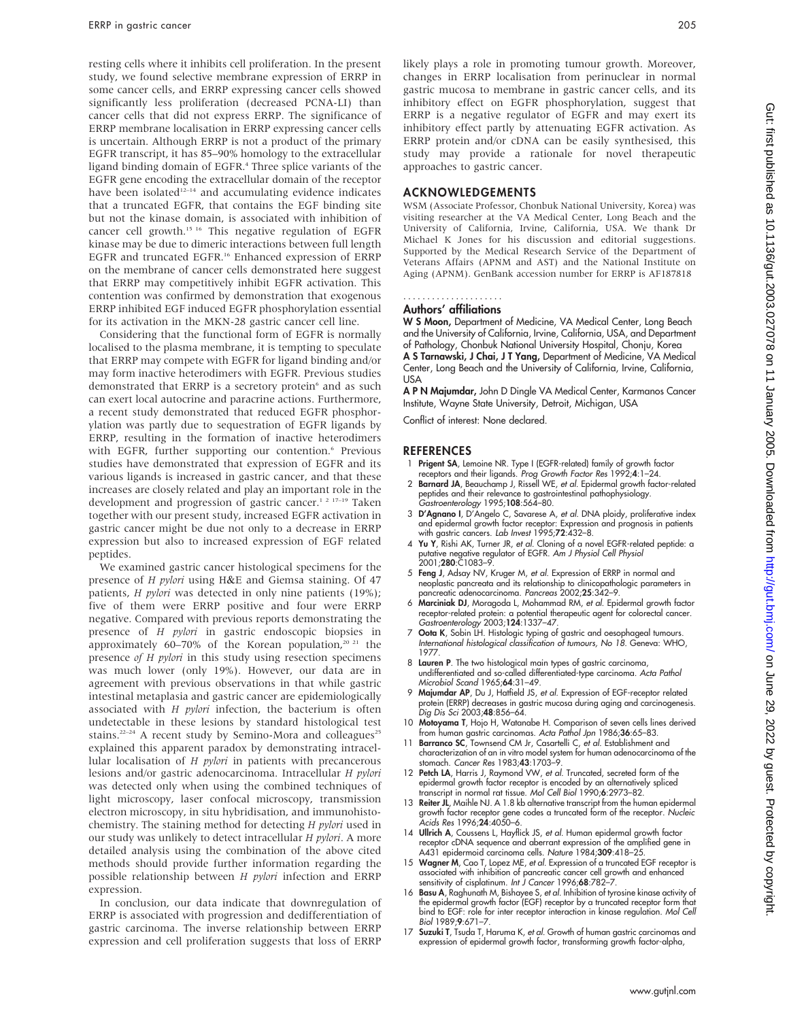resting cells where it inhibits cell proliferation. In the present study, we found selective membrane expression of ERRP in some cancer cells, and ERRP expressing cancer cells showed significantly less proliferation (decreased PCNA-LI) than cancer cells that did not express ERRP. The significance of ERRP membrane localisation in ERRP expressing cancer cells is uncertain. Although ERRP is not a product of the primary EGFR transcript, it has 85–90% homology to the extracellular ligand binding domain of EGFR.<sup>4</sup> Three splice variants of the EGFR gene encoding the extracellular domain of the receptor have been isolated $12-14$  and accumulating evidence indicates that a truncated EGFR, that contains the EGF binding site but not the kinase domain, is associated with inhibition of cancer cell growth.<sup>15 16</sup> This negative regulation of EGFR kinase may be due to dimeric interactions between full length EGFR and truncated EGFR.<sup>16</sup> Enhanced expression of ERRP on the membrane of cancer cells demonstrated here suggest that ERRP may competitively inhibit EGFR activation. This contention was confirmed by demonstration that exogenous ERRP inhibited EGF induced EGFR phosphorylation essential for its activation in the MKN-28 gastric cancer cell line.

Considering that the functional form of EGFR is normally localised to the plasma membrane, it is tempting to speculate that ERRP may compete with EGFR for ligand binding and/or may form inactive heterodimers with EGFR. Previous studies demonstrated that ERRP is a secretory protein<sup>6</sup> and as such can exert local autocrine and paracrine actions. Furthermore, a recent study demonstrated that reduced EGFR phosphorylation was partly due to sequestration of EGFR ligands by ERRP, resulting in the formation of inactive heterodimers with EGFR, further supporting our contention.<sup>6</sup> Previous studies have demonstrated that expression of EGFR and its various ligands is increased in gastric cancer, and that these increases are closely related and play an important role in the development and progression of gastric cancer.<sup>1 2 17-19</sup> Taken together with our present study, increased EGFR activation in gastric cancer might be due not only to a decrease in ERRP expression but also to increased expression of EGF related peptides.

We examined gastric cancer histological specimens for the presence of H pylori using H&E and Giemsa staining. Of 47 patients, *H pylori* was detected in only nine patients (19%); five of them were ERRP positive and four were ERRP negative. Compared with previous reports demonstrating the presence of H pylori in gastric endoscopic biopsies in approximately 60-70% of the Korean population,<sup>20 21</sup> the presence of H pylori in this study using resection specimens was much lower (only 19%). However, our data are in agreement with previous observations in that while gastric intestinal metaplasia and gastric cancer are epidemiologically associated with H pylori infection, the bacterium is often undetectable in these lesions by standard histological test stains.<sup>22-24</sup> A recent study by Semino-Mora and colleagues<sup>25</sup> explained this apparent paradox by demonstrating intracellular localisation of H pylori in patients with precancerous lesions and/or gastric adenocarcinoma. Intracellular H pylori was detected only when using the combined techniques of light microscopy, laser confocal microscopy, transmission electron microscopy, in situ hybridisation, and immunohistochemistry. The staining method for detecting H pylori used in our study was unlikely to detect intracellular H pylori. A more detailed analysis using the combination of the above cited methods should provide further information regarding the possible relationship between H pylori infection and ERRP expression.

In conclusion, our data indicate that downregulation of ERRP is associated with progression and dedifferentiation of gastric carcinoma. The inverse relationship between ERRP expression and cell proliferation suggests that loss of ERRP likely plays a role in promoting tumour growth. Moreover, changes in ERRP localisation from perinuclear in normal gastric mucosa to membrane in gastric cancer cells, and its inhibitory effect on EGFR phosphorylation, suggest that ERRP is a negative regulator of EGFR and may exert its inhibitory effect partly by attenuating EGFR activation. As ERRP protein and/or cDNA can be easily synthesised, this study may provide a rationale for novel therapeutic approaches to gastric cancer.

#### ACKNOWLEDGEMENTS

WSM (Associate Professor, Chonbuk National University, Korea) was visiting researcher at the VA Medical Center, Long Beach and the University of California, Irvine, California, USA. We thank Dr Michael K Jones for his discussion and editorial suggestions. Supported by the Medical Research Service of the Department of Veterans Affairs (APNM and AST) and the National Institute on Aging (APNM). GenBank accession number for ERRP is AF187818

#### Authors' affiliations .....................

W S Moon, Department of Medicine, VA Medical Center, Long Beach and the University of California, Irvine, California, USA, and Department of Pathology, Chonbuk National University Hospital, Chonju, Korea A S Tarnawski, J Chai, J T Yang, Department of Medicine, VA Medical Center, Long Beach and the University of California, Irvine, California, USA

A P N Majumdar, John D Dingle VA Medical Center, Karmanos Cancer Institute, Wayne State University, Detroit, Michigan, USA

Conflict of interest: None declared.

#### **REFERENCES**

- 1 Prigent SA, Lemoine NR. Type I (EGFR-related) family of growth factor
- receptors and their ligands. *Prog Growth Factor Res* 1992;4:1–24.<br>2 **Barnard JA**, Beauchamp J, Rissell WE, *et al.* Epidermal growth factor-related peptides and their relevance to gastrointestinal pathophysiology.<br>*Gastroenterology* 1995;**108**:564–80.
- 3 D'Agnano I, D'Angelo C, Savarese A, et al. DNA ploidy, proliferative index and epidermal growth factor receptor: Expression and prognosis in patients with gastric cancers. Lab Invest 1995;72:432-8.
- 4 Yu Y, Rishi AK, Turner JR, et al. Cloning of a novel EGFR-related peptide: a putative negative regulator of EGFR. *Am J Physiol Cell Physiol*<br>2001;**280**:C1083–9.
- 5 Feng J, Adsay NV, Kruger M, et al. Expression of ERRP in normal and neoplastic pancreata and its relationship to clinicopathologic parameters in pancreatic adenocarcinoma. Pancreas 2002;25:342–9.
- 6 Marciniak DJ, Moragoda L, Mohammad RM, et al. Epidermal growth factor receptor-related protein: a potential therapeutic agent for colorectal cancer. Gastroenterology 2003;124:1337–47.
- 7 Oota K, Sobin LH. Histologic typing of gastric and oesophageal tumours. International histological classification of tumours, No 18. Geneva: WHO, 1977.
- 8 Lauren P. The two histological main types of gastric carcinoma, undifferentiated and so-called differentiated-type carcinoma. Acta Pathol Microbiol Scand 1965;64:31–49.
- 9 Majumdar AP, Du J, Hatfield JS, et al. Expression of EGF-receptor related protein (ERRP) decreases in gastric mucosa during aging and carcinogenesis. Dig Dis Sci 2003;48:856–64.
- 10 Motoyama T, Hojo H, Watanabe H. Comparison of seven cells lines derived<br>from human gastric carcinomas. *Acta Pathol Jpn* 1986;36:65–83.<br>11 **Barranco SC**, Townsend CM Jr, Casartelli C, *et al.* Establishment and
- characterization of an in vitro model system for human adenocarcinoma of the stomach. Cancer Res 1983;43:1703–9.
- 12 Petch LA, Harris J, Raymond VW, et al. Truncated, secreted form of the epidermal growth factor receptor is encoded by an alternatively spliced transcript in normal rat tissue. Mol Cell Biol 1990;6:2973–82.
- Reiter JL, Maihle NJ. A 1.8 kb alternative transcript from the human epidermal growth factor receptor gene codes a truncated form of the receptor. *Nucleic*<br>Ac*ids Res* 1996;**24**:4050–6.
- 14 Ullrich A, Coussens L, Hayflick JS, et al. Human epidermal growth factor receptor cDNA sequence and aberrant expression of the amplified gene in A431 epidermoid carcinoma cells. Nature 1984;309:418–25.
- 15 Wagner M, Cao T, Lopez ME, et al. Expression of a truncated EGF receptor is associated with inhibition of pancreatic cancer cell growth and enhanced sensitivity of cisplatinum. Int J Cancer 1996;**68**:782–7.
- 16 Basu A, Raghunath M, Bishayee S, *et al.* Inhibition of tyrosine kinase activity of the epidermal growth factor (EGF) receptor by a truncated receptor form that bind to EGF: role for inter receptor interaction in kinase regulation. Mol Cell Biol 1989;9:671–7.
- Suzuki T, Tsuda T, Haruma K, et al. Growth of human gastric carcinomas and expression of epidermal growth factor, transforming growth factor-alpha,